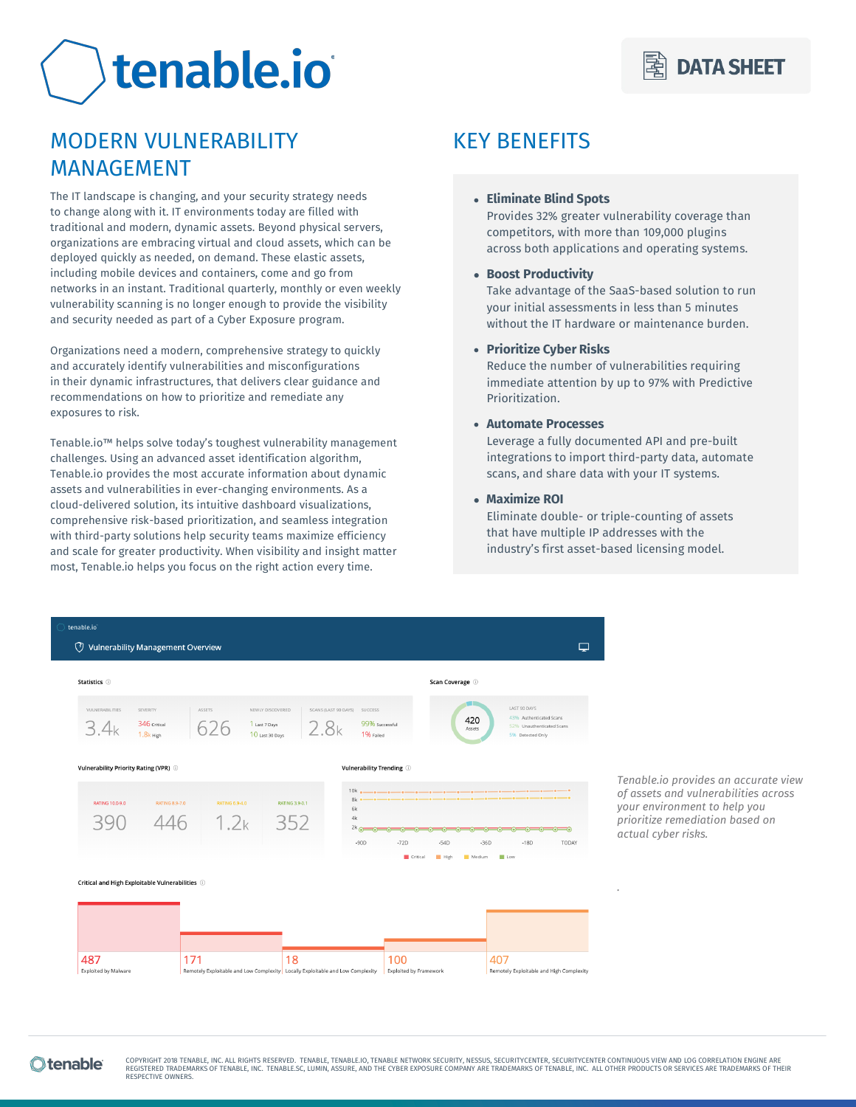# tenable.io

# MODERN VULNERABILITY MANAGEMENT

The IT landscape is changing, and your security strategy needs to change along with it. IT environments today are filled with traditional and modern, dynamic assets. Beyond physical servers, organizations are embracing virtual and cloud assets, which can be deployed quickly as needed, on demand. These elastic assets, including mobile devices and containers, come and go from networks in an instant. Traditional quarterly, monthly or even weekly vulnerability scanning is no longer enough to provide the visibility and security needed as part of a Cyber Exposure program.

Organizations need a modern, comprehensive strategy to quickly and accurately identify vulnerabilities and misconfigurations in their dynamic infrastructures, that delivers clear guidance and recommendations on how to prioritize and remediate any exposures to risk.

Tenable.io™ helps solve today's toughest vulnerability management challenges. Using an advanced asset identification algorithm, Tenable.io provides the most accurate information about dynamic assets and vulnerabilities in ever-changing environments. As a cloud-delivered solution, its intuitive dashboard visualizations, comprehensive risk-based prioritization, and seamless integration with third-party solutions help security teams maximize efficiency and scale for greater productivity. When visibility and insight matter most, Tenable.io helps you focus on the right action every time.

# KEY BENEFITS

# • **Eliminate Blind Spots**

Provides 32% greater vulnerability coverage than competitors, with more than 109,000 plugins across both applications and operating systems.

# • **Boost Productivity**

Take advantage of the SaaS-based solution to run your initial assessments in less than 5 minutes without the IT hardware or maintenance burden.

# • **Prioritize Cyber Risks**

Reduce the number of vulnerabilities requiring immediate attention by up to 97% with Predictive Prioritization.

# • **Automate Processes**

Leverage a fully documented API and pre-built integrations to import third-party data, automate scans, and share data with your IT systems.

# • **Maximize ROI**

Eliminate double- or triple-counting of assets that have multiple IP addresses with the industry's first asset-based licensing model.